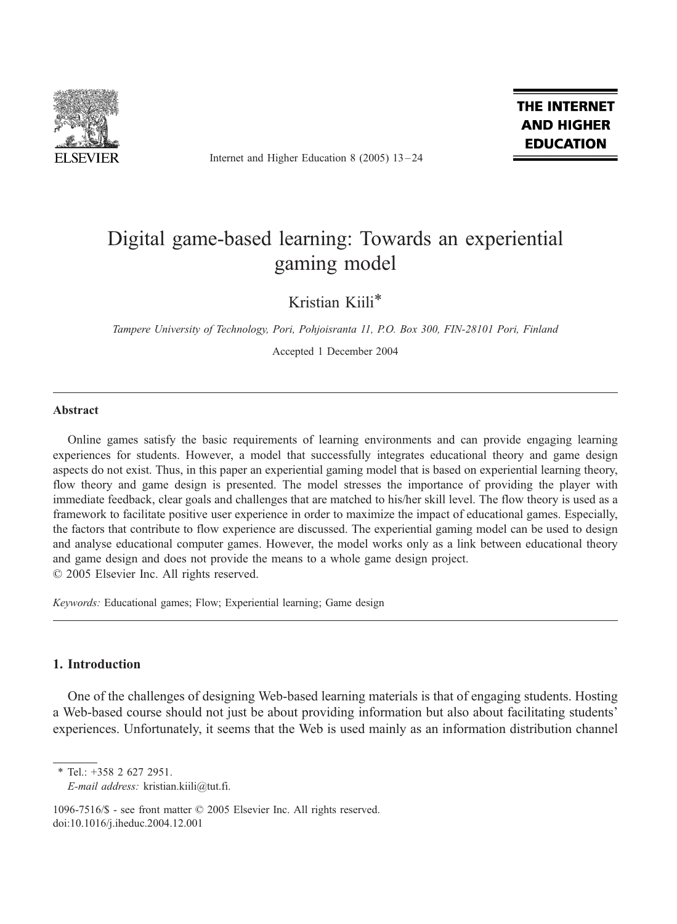

Internet and Higher Education 8 (2005) 13 – 24

**THE INTERNET AND HIGHER EDUCATION** 

# Digital game-based learning: Towards an experiential gaming model

Kristian Kiili\*

Tampere University of Technology, Pori, Pohjoisranta 11, P.O. Box 300, FIN-28101 Pori, Finland

Accepted 1 December 2004

#### Abstract

Online games satisfy the basic requirements of learning environments and can provide engaging learning experiences for students. However, a model that successfully integrates educational theory and game design aspects do not exist. Thus, in this paper an experiential gaming model that is based on experiential learning theory, flow theory and game design is presented. The model stresses the importance of providing the player with immediate feedback, clear goals and challenges that are matched to his/her skill level. The flow theory is used as a framework to facilitate positive user experience in order to maximize the impact of educational games. Especially, the factors that contribute to flow experience are discussed. The experiential gaming model can be used to design and analyse educational computer games. However, the model works only as a link between educational theory and game design and does not provide the means to a whole game design project.  $\odot$  2005 Elsevier Inc. All rights reserved.

Keywords: Educational games; Flow; Experiential learning; Game design

## 1. Introduction

One of the challenges of designing Web-based learning materials is that of engaging students. Hosting a Web-based course should not just be about providing information but also about facilitating students' experiences. Unfortunately, it seems that the Web is used mainly as an information distribution channel

 $*$  Tel.: +358 2 627 2951. E-mail address: kristian.kiili@tut.fi.

1096-7516/\$ - see front matter © 2005 Elsevier Inc. All rights reserved. doi:10.1016/j.iheduc.2004.12.001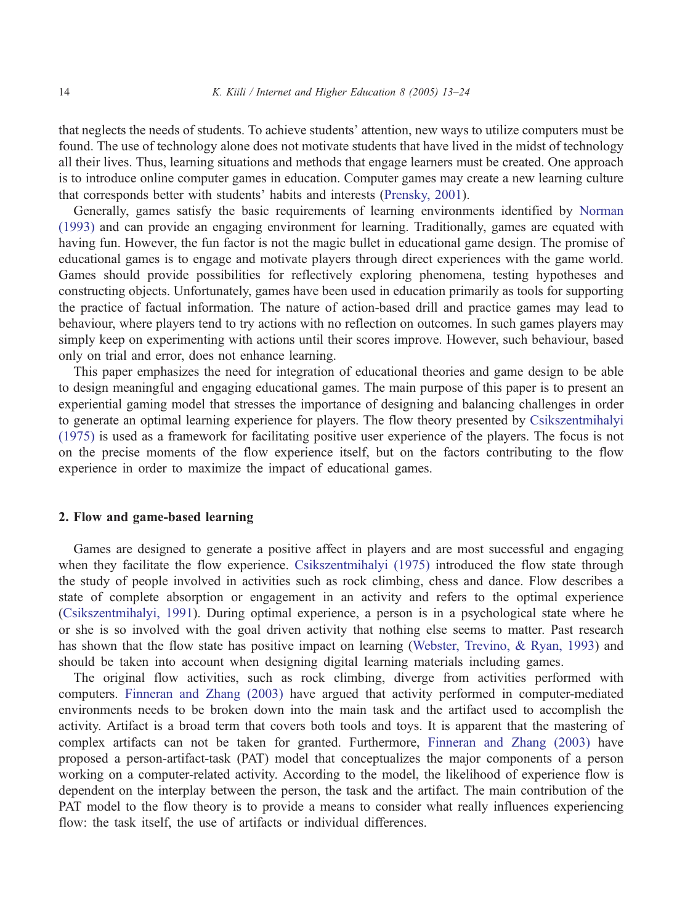that neglects the needs of students. To achieve students' attention, new ways to utilize computers must be found. The use of technology alone does not motivate students that have lived in the midst of technology all their lives. Thus, learning situations and methods that engage learners must be created. One approach is to introduce online computer games in education. Computer games may create a new learning culture that corresponds better with students' habits and interests ([Prensky, 2001\)](#page-11-0).

Generally, games satisfy the basic requirements of learning environments identified by [Norman](#page-11-0) (1993) and can provide an engaging environment for learning. Traditionally, games are equated with having fun. However, the fun factor is not the magic bullet in educational game design. The promise of educational games is to engage and motivate players through direct experiences with the game world. Games should provide possibilities for reflectively exploring phenomena, testing hypotheses and constructing objects. Unfortunately, games have been used in education primarily as tools for supporting the practice of factual information. The nature of action-based drill and practice games may lead to behaviour, where players tend to try actions with no reflection on outcomes. In such games players may simply keep on experimenting with actions until their scores improve. However, such behaviour, based only on trial and error, does not enhance learning.

This paper emphasizes the need for integration of educational theories and game design to be able to design meaningful and engaging educational games. The main purpose of this paper is to present an experiential gaming model that stresses the importance of designing and balancing challenges in order to generate an optimal learning experience for players. The flow theory presented by [Csikszentmihalyi](#page-10-0) (1975) is used as a framework for facilitating positive user experience of the players. The focus is not on the precise moments of the flow experience itself, but on the factors contributing to the flow experience in order to maximize the impact of educational games.

## 2. Flow and game-based learning

Games are designed to generate a positive affect in players and are most successful and engaging when they facilitate the flow experience. [Csikszentmihalyi \(1975\)](#page-10-0) introduced the flow state through the study of people involved in activities such as rock climbing, chess and dance. Flow describes a state of complete absorption or engagement in an activity and refers to the optimal experience ([Csikszentmihalyi, 1991\)](#page-10-0). During optimal experience, a person is in a psychological state where he or she is so involved with the goal driven activity that nothing else seems to matter. Past research has shown that the flow state has positive impact on learning ([Webster, Trevino, & Ryan, 1993\)](#page-11-0) and should be taken into account when designing digital learning materials including games.

The original flow activities, such as rock climbing, diverge from activities performed with computers. [Finneran and Zhang \(2003\)](#page-10-0) have argued that activity performed in computer-mediated environments needs to be broken down into the main task and the artifact used to accomplish the activity. Artifact is a broad term that covers both tools and toys. It is apparent that the mastering of complex artifacts can not be taken for granted. Furthermore, [Finneran and Zhang \(2003\)](#page-10-0) have proposed a person-artifact-task (PAT) model that conceptualizes the major components of a person working on a computer-related activity. According to the model, the likelihood of experience flow is dependent on the interplay between the person, the task and the artifact. The main contribution of the PAT model to the flow theory is to provide a means to consider what really influences experiencing flow: the task itself, the use of artifacts or individual differences.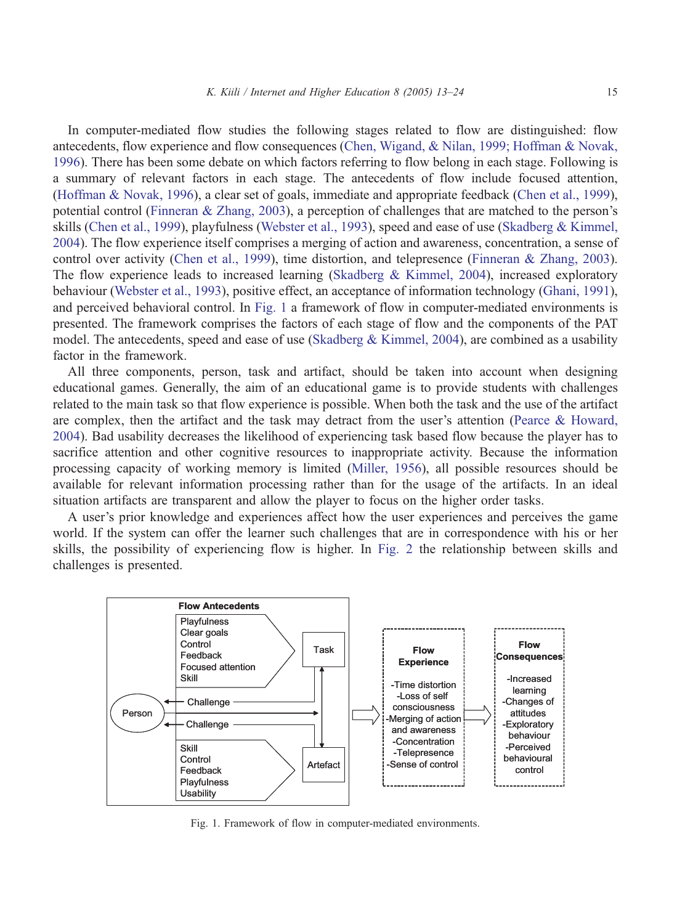In computer-mediated flow studies the following stages related to flow are distinguished: flow antecedents, flow experience and flow consequences ([Chen, Wigand, & Nilan, 1999; Hoffman & Novak,](#page-10-0) 1996). There has been some debate on which factors referring to flow belong in each stage. Following is a summary of relevant factors in each stage. The antecedents of flow include focused attention, [\(Hoffman & Novak, 1996\)](#page-10-0), a clear set of goals, immediate and appropriate feedback ([Chen et al., 1999\)](#page-10-0), potential control ([Finneran & Zhang, 2003\)](#page-10-0), a perception of challenges that are matched to the person's skills ([Chen et al., 1999\)](#page-10-0), playfulness ([Webster et al., 1993\)](#page-11-0), speed and ease of use ([Skadberg & Kimmel,](#page-11-0) 2004). The flow experience itself comprises a merging of action and awareness, concentration, a sense of control over activity ([Chen et al., 1999\)](#page-10-0), time distortion, and telepresence ([Finneran & Zhang, 2003\)](#page-10-0). The flow experience leads to increased learning ([Skadberg & Kimmel, 2004\)](#page-11-0), increased exploratory behaviour [\(Webster et al., 1993\)](#page-11-0), positive effect, an acceptance of information technology ([Ghani, 1991\)](#page-10-0), and perceived behavioral control. In Fig. 1 a framework of flow in computer-mediated environments is presented. The framework comprises the factors of each stage of flow and the components of the PAT model. The antecedents, speed and ease of use ([Skadberg & Kimmel, 2004\)](#page-11-0), are combined as a usability factor in the framework.

All three components, person, task and artifact, should be taken into account when designing educational games. Generally, the aim of an educational game is to provide students with challenges related to the main task so that flow experience is possible. When both the task and the use of the artifact are complex, then the artifact and the task may detract from the user's attention ([Pearce & Howard,](#page-11-0) 2004). Bad usability decreases the likelihood of experiencing task based flow because the player has to sacrifice attention and other cognitive resources to inappropriate activity. Because the information processing capacity of working memory is limited ([Miller, 1956\)](#page-11-0), all possible resources should be available for relevant information processing rather than for the usage of the artifacts. In an ideal situation artifacts are transparent and allow the player to focus on the higher order tasks.

A user's prior knowledge and experiences affect how the user experiences and perceives the game world. If the system can offer the learner such challenges that are in correspondence with his or her skills, the possibility of experiencing flow is higher. In [Fig. 2](#page-3-0) the relationship between skills and challenges is presented.



Fig. 1. Framework of flow in computer-mediated environments.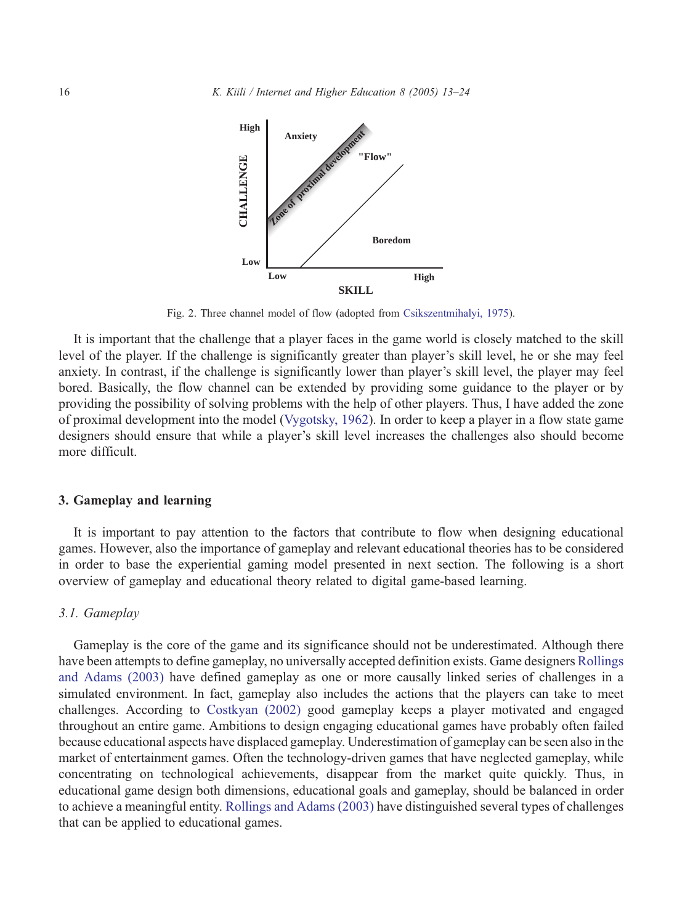<span id="page-3-0"></span>

Fig. 2. Three channel model of flow (adopted from [Csikszentmihalyi, 1975\)](#page-10-0).

It is important that the challenge that a player faces in the game world is closely matched to the skill level of the player. If the challenge is significantly greater than player's skill level, he or she may feel anxiety. In contrast, if the challenge is significantly lower than player's skill level, the player may feel bored. Basically, the flow channel can be extended by providing some guidance to the player or by providing the possibility of solving problems with the help of other players. Thus, I have added the zone of proximal development into the model ([Vygotsky, 1962\)](#page-11-0). In order to keep a player in a flow state game designers should ensure that while a player's skill level increases the challenges also should become more difficult.

## 3. Gameplay and learning

It is important to pay attention to the factors that contribute to flow when designing educational games. However, also the importance of gameplay and relevant educational theories has to be considered in order to base the experiential gaming model presented in next section. The following is a short overview of gameplay and educational theory related to digital game-based learning.

#### 3.1. Gameplay

Gameplay is the core of the game and its significance should not be underestimated. Although there have been attempts to define gameplay, no universally accepted definition exists. Game designers [Rollings](#page-11-0) and Adams (2003) have defined gameplay as one or more causally linked series of challenges in a simulated environment. In fact, gameplay also includes the actions that the players can take to meet challenges. According to [Costkyan \(2002\)](#page-10-0) good gameplay keeps a player motivated and engaged throughout an entire game. Ambitions to design engaging educational games have probably often failed because educational aspects have displaced gameplay. Underestimation of gameplay can be seen also in the market of entertainment games. Often the technology-driven games that have neglected gameplay, while concentrating on technological achievements, disappear from the market quite quickly. Thus, in educational game design both dimensions, educational goals and gameplay, should be balanced in order to achieve a meaningful entity. [Rollings and Adams \(2003\)](#page-11-0) have distinguished several types of challenges that can be applied to educational games.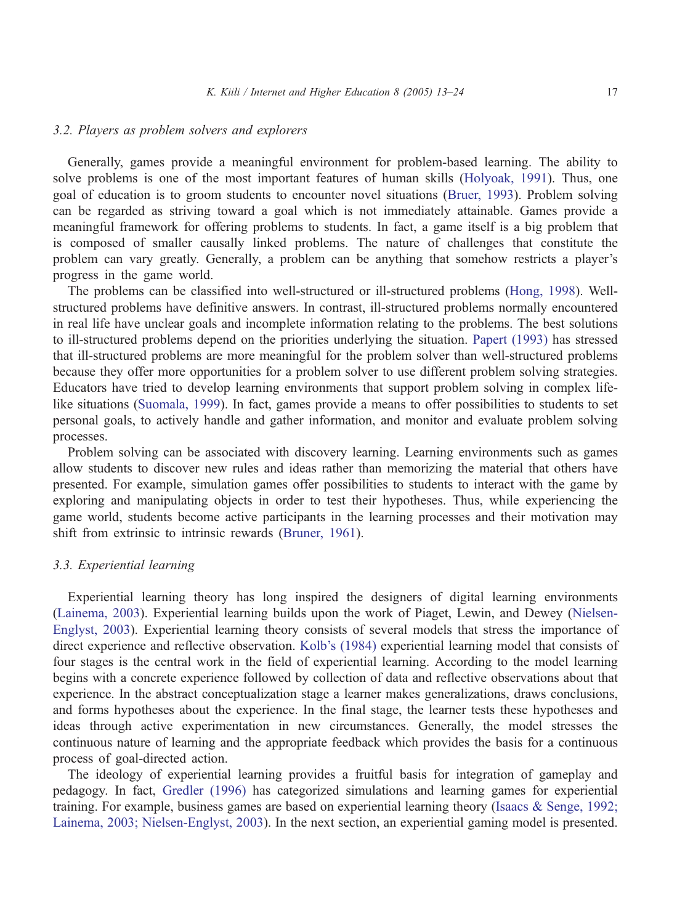## 3.2. Players as problem solvers and explorers

Generally, games provide a meaningful environment for problem-based learning. The ability to solve problems is one of the most important features of human skills ([Holyoak, 1991\)](#page-10-0). Thus, one goal of education is to groom students to encounter novel situations ([Bruer, 1993\)](#page-10-0). Problem solving can be regarded as striving toward a goal which is not immediately attainable. Games provide a meaningful framework for offering problems to students. In fact, a game itself is a big problem that is composed of smaller causally linked problems. The nature of challenges that constitute the problem can vary greatly. Generally, a problem can be anything that somehow restricts a player's progress in the game world.

The problems can be classified into well-structured or ill-structured problems ([Hong, 1998\)](#page-10-0). Wellstructured problems have definitive answers. In contrast, ill-structured problems normally encountered in real life have unclear goals and incomplete information relating to the problems. The best solutions to ill-structured problems depend on the priorities underlying the situation. [Papert \(1993\)](#page-11-0) has stressed that ill-structured problems are more meaningful for the problem solver than well-structured problems because they offer more opportunities for a problem solver to use different problem solving strategies. Educators have tried to develop learning environments that support problem solving in complex lifelike situations ([Suomala, 1999\)](#page-11-0). In fact, games provide a means to offer possibilities to students to set personal goals, to actively handle and gather information, and monitor and evaluate problem solving processes.

Problem solving can be associated with discovery learning. Learning environments such as games allow students to discover new rules and ideas rather than memorizing the material that others have presented. For example, simulation games offer possibilities to students to interact with the game by exploring and manipulating objects in order to test their hypotheses. Thus, while experiencing the game world, students become active participants in the learning processes and their motivation may shift from extrinsic to intrinsic rewards ([Bruner, 1961\)](#page-10-0).

#### 3.3. Experiential learning

Experiential learning theory has long inspired the designers of digital learning environments [\(Lainema, 2003\)](#page-10-0). Experiential learning builds upon the work of Piaget, Lewin, and Dewey ([Nielsen-](#page-11-0)Englyst, 2003). Experiential learning theory consists of several models that stress the importance of direct experience and reflective observation. [Kolb's \(1984\)](#page-10-0) experiential learning model that consists of four stages is the central work in the field of experiential learning. According to the model learning begins with a concrete experience followed by collection of data and reflective observations about that experience. In the abstract conceptualization stage a learner makes generalizations, draws conclusions, and forms hypotheses about the experience. In the final stage, the learner tests these hypotheses and ideas through active experimentation in new circumstances. Generally, the model stresses the continuous nature of learning and the appropriate feedback which provides the basis for a continuous process of goal-directed action.

The ideology of experiential learning provides a fruitful basis for integration of gameplay and pedagogy. In fact, [Gredler \(1996\)](#page-10-0) has categorized simulations and learning games for experiential training. For example, business games are based on experiential learning theory ([Isaacs & Senge, 1992;](#page-10-0) Lainema, 2003; Nielsen-Englyst, 2003). In the next section, an experiential gaming model is presented.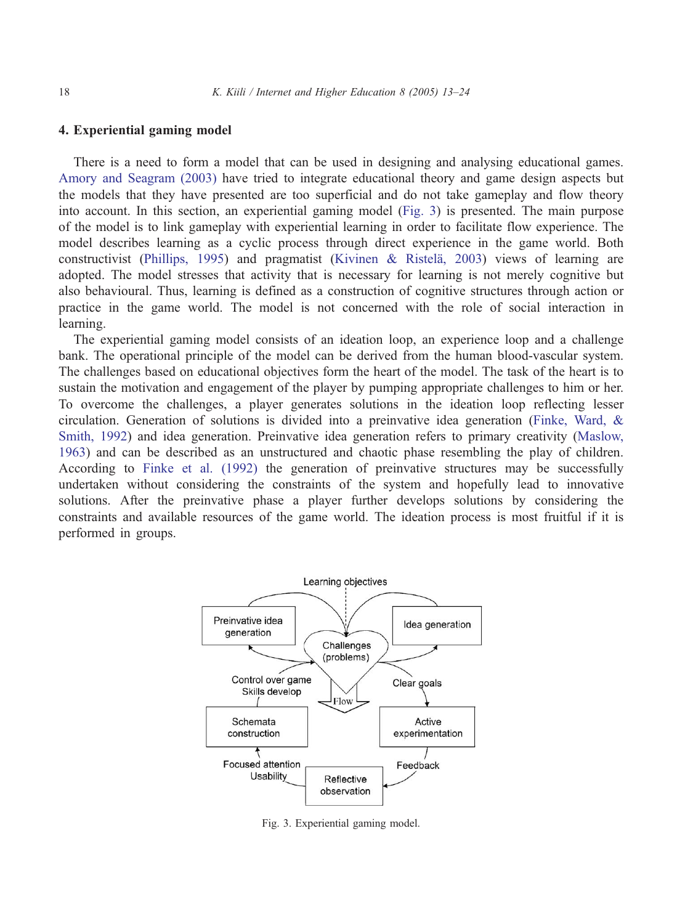## 4. Experiential gaming model

There is a need to form a model that can be used in designing and analysing educational games. [Amory and Seagram \(2003\)](#page-10-0) have tried to integrate educational theory and game design aspects but the models that they have presented are too superficial and do not take gameplay and flow theory into account. In this section, an experiential gaming model (Fig. 3) is presented. The main purpose of the model is to link gameplay with experiential learning in order to facilitate flow experience. The model describes learning as a cyclic process through direct experience in the game world. Both constructivist ([Phillips, 1995\)](#page-11-0) and pragmatist (Kivinen & Ristelä, 2003) views of learning are adopted. The model stresses that activity that is necessary for learning is not merely cognitive but also behavioural. Thus, learning is defined as a construction of cognitive structures through action or practice in the game world. The model is not concerned with the role of social interaction in learning.

The experiential gaming model consists of an ideation loop, an experience loop and a challenge bank. The operational principle of the model can be derived from the human blood-vascular system. The challenges based on educational objectives form the heart of the model. The task of the heart is to sustain the motivation and engagement of the player by pumping appropriate challenges to him or her. To overcome the challenges, a player generates solutions in the ideation loop reflecting lesser circulation. Generation of solutions is divided into a preinvative idea generation ([Finke, Ward, &](#page-10-0) Smith, 1992) and idea generation. Preinvative idea generation refers to primary creativity ([Maslow,](#page-11-0) 1963) and can be described as an unstructured and chaotic phase resembling the play of children. According to [Finke et al. \(1992\)](#page-10-0) the generation of preinvative structures may be successfully undertaken without considering the constraints of the system and hopefully lead to innovative solutions. After the preinvative phase a player further develops solutions by considering the constraints and available resources of the game world. The ideation process is most fruitful if it is performed in groups.



Fig. 3. Experiential gaming model.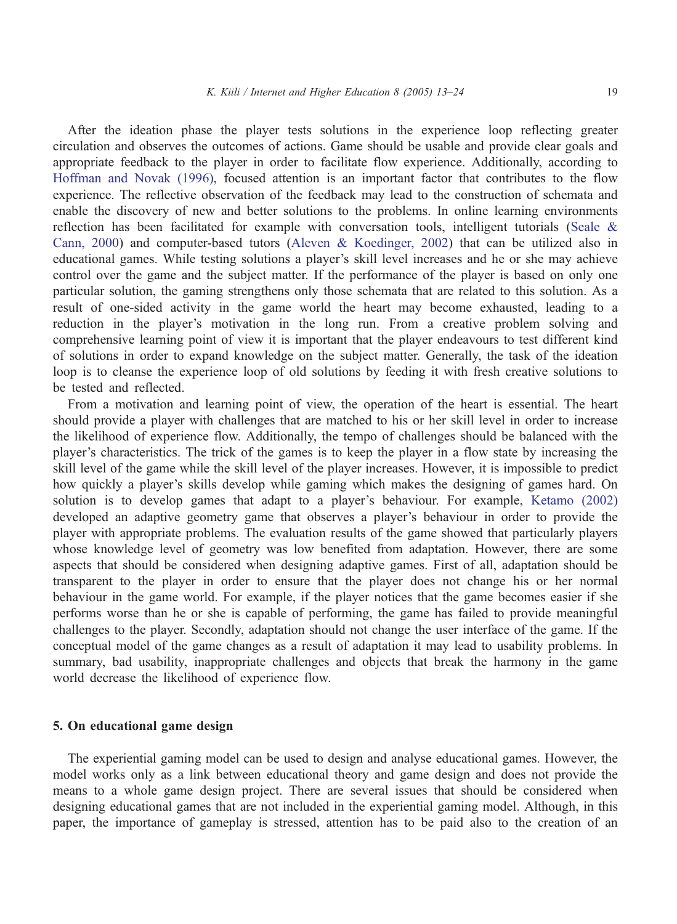After the ideation phase the player tests solutions in the experience loop reflecting greater circulation and observes the outcomes of actions. Game should be usable and provide clear goals and appropriate feedback to the player in order to facilitate flow experience. Additionally, according to [Hoffman and Novak \(1996\),](#page-10-0) focused attention is an important factor that contributes to the flow experience. The reflective observation of the feedback may lead to the construction of schemata and enable the discovery of new and better solutions to the problems. In online learning environments reflection has been facilitated for example with conversation tools, intelligent tutorials ([Seale &](#page-11-0) Cann, 2000) and computer-based tutors ([Aleven & Koedinger, 2002\)](#page-10-0) that can be utilized also in educational games. While testing solutions a player's skill level increases and he or she may achieve control over the game and the subject matter. If the performance of the player is based on only one particular solution, the gaming strengthens only those schemata that are related to this solution. As a result of one-sided activity in the game world the heart may become exhausted, leading to a reduction in the player's motivation in the long run. From a creative problem solving and comprehensive learning point of view it is important that the player endeavours to test different kind of solutions in order to expand knowledge on the subject matter. Generally, the task of the ideation loop is to cleanse the experience loop of old solutions by feeding it with fresh creative solutions to be tested and reflected.

From a motivation and learning point of view, the operation of the heart is essential. The heart should provide a player with challenges that are matched to his or her skill level in order to increase the likelihood of experience flow. Additionally, the tempo of challenges should be balanced with the player's characteristics. The trick of the games is to keep the player in a flow state by increasing the skill level of the game while the skill level of the player increases. However, it is impossible to predict how quickly a player's skills develop while gaming which makes the designing of games hard. On solution is to develop games that adapt to a player's behaviour. For example, [Ketamo \(2002\)](#page-10-0) developed an adaptive geometry game that observes a player's behaviour in order to provide the player with appropriate problems. The evaluation results of the game showed that particularly players whose knowledge level of geometry was low benefited from adaptation. However, there are some aspects that should be considered when designing adaptive games. First of all, adaptation should be transparent to the player in order to ensure that the player does not change his or her normal behaviour in the game world. For example, if the player notices that the game becomes easier if she performs worse than he or she is capable of performing, the game has failed to provide meaningful challenges to the player. Secondly, adaptation should not change the user interface of the game. If the conceptual model of the game changes as a result of adaptation it may lead to usability problems. In summary, bad usability, inappropriate challenges and objects that break the harmony in the game world decrease the likelihood of experience flow.

## 5. On educational game design

The experiential gaming model can be used to design and analyse educational games. However, the model works only as a link between educational theory and game design and does not provide the means to a whole game design project. There are several issues that should be considered when designing educational games that are not included in the experiential gaming model. Although, in this paper, the importance of gameplay is stressed, attention has to be paid also to the creation of an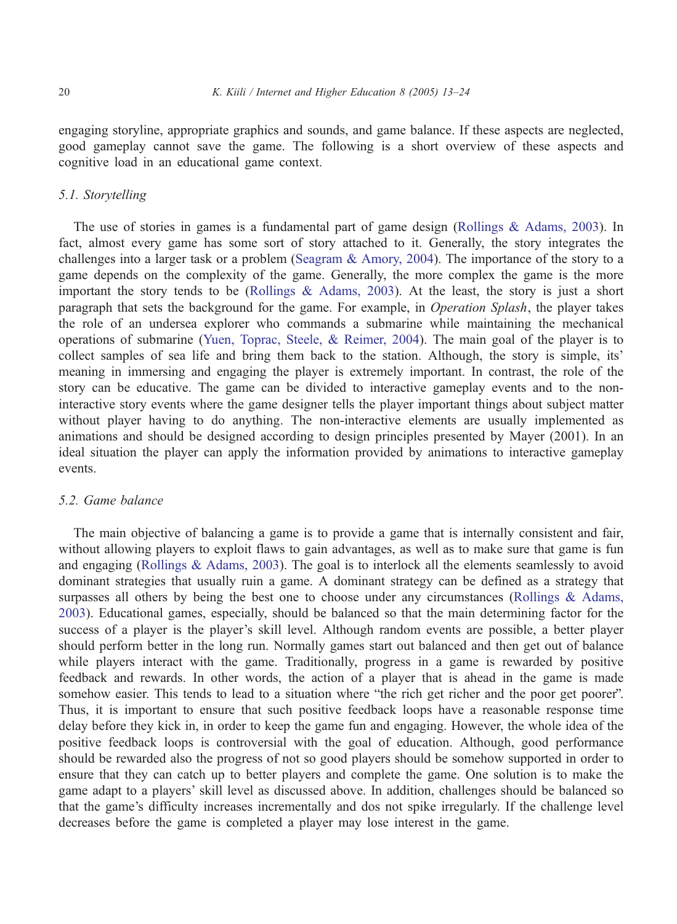engaging storyline, appropriate graphics and sounds, and game balance. If these aspects are neglected, good gameplay cannot save the game. The following is a short overview of these aspects and cognitive load in an educational game context.

## 5.1. Storytelling

The use of stories in games is a fundamental part of game design ([Rollings & Adams, 2003\)](#page-11-0). In fact, almost every game has some sort of story attached to it. Generally, the story integrates the challenges into a larger task or a problem ([Seagram & Amory, 2004\)](#page-11-0). The importance of the story to a game depends on the complexity of the game. Generally, the more complex the game is the more important the story tends to be (Rollings  $\&$  Adams, 2003). At the least, the story is just a short paragraph that sets the background for the game. For example, in Operation Splash, the player takes the role of an undersea explorer who commands a submarine while maintaining the mechanical operations of submarine ([Yuen, Toprac, Steele, & Reimer, 2004\)](#page-11-0). The main goal of the player is to collect samples of sea life and bring them back to the station. Although, the story is simple, its' meaning in immersing and engaging the player is extremely important. In contrast, the role of the story can be educative. The game can be divided to interactive gameplay events and to the noninteractive story events where the game designer tells the player important things about subject matter without player having to do anything. The non-interactive elements are usually implemented as animations and should be designed according to design principles presented by Mayer (2001). In an ideal situation the player can apply the information provided by animations to interactive gameplay events.

## 5.2. Game balance

The main objective of balancing a game is to provide a game that is internally consistent and fair, without allowing players to exploit flaws to gain advantages, as well as to make sure that game is fun and engaging ([Rollings & Adams, 2003\)](#page-11-0). The goal is to interlock all the elements seamlessly to avoid dominant strategies that usually ruin a game. A dominant strategy can be defined as a strategy that surpasses all others by being the best one to choose under any circumstances ([Rollings & Adams,](#page-11-0) 2003). Educational games, especially, should be balanced so that the main determining factor for the success of a player is the player's skill level. Although random events are possible, a better player should perform better in the long run. Normally games start out balanced and then get out of balance while players interact with the game. Traditionally, progress in a game is rewarded by positive feedback and rewards. In other words, the action of a player that is ahead in the game is made somehow easier. This tends to lead to a situation where "the rich get richer and the poor get poorer". Thus, it is important to ensure that such positive feedback loops have a reasonable response time delay before they kick in, in order to keep the game fun and engaging. However, the whole idea of the positive feedback loops is controversial with the goal of education. Although, good performance should be rewarded also the progress of not so good players should be somehow supported in order to ensure that they can catch up to better players and complete the game. One solution is to make the game adapt to a players' skill level as discussed above. In addition, challenges should be balanced so that the game's difficulty increases incrementally and dos not spike irregularly. If the challenge level decreases before the game is completed a player may lose interest in the game.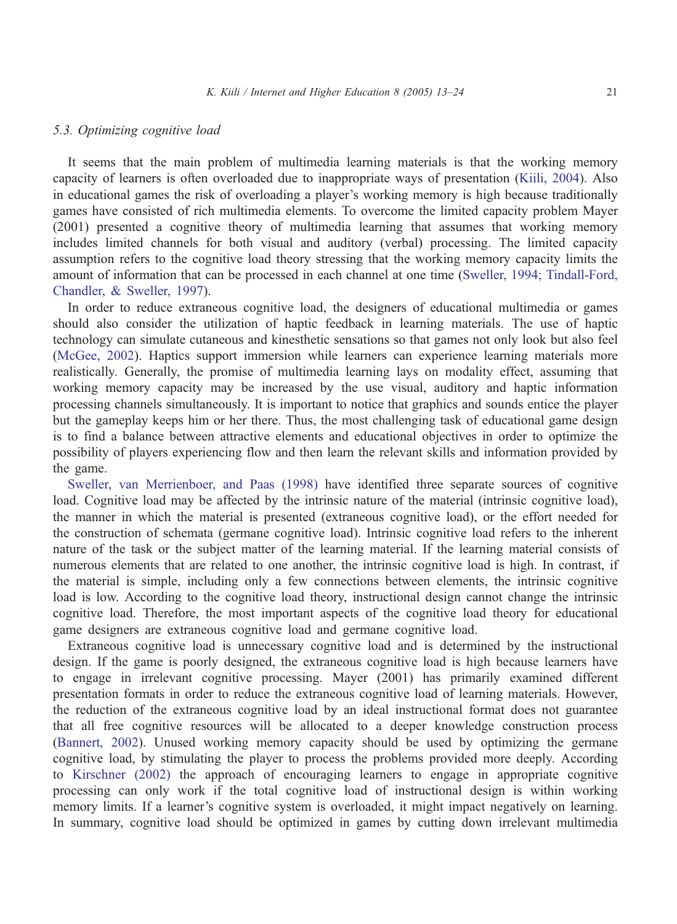#### 5.3. Optimizing cognitive load

It seems that the main problem of multimedia learning materials is that the working memory capacity of learners is often overloaded due to inappropriate ways of presentation ([Kiili, 2004\)](#page-10-0). Also in educational games the risk of overloading a player's working memory is high because traditionally games have consisted of rich multimedia elements. To overcome the limited capacity problem Mayer (2001) presented a cognitive theory of multimedia learning that assumes that working memory includes limited channels for both visual and auditory (verbal) processing. The limited capacity assumption refers to the cognitive load theory stressing that the working memory capacity limits the amount of information that can be processed in each channel at one time ([Sweller, 1994; Tindall-Ford,](#page-11-0) Chandler, & Sweller, 1997).

In order to reduce extraneous cognitive load, the designers of educational multimedia or games should also consider the utilization of haptic feedback in learning materials. The use of haptic technology can simulate cutaneous and kinesthetic sensations so that games not only look but also feel [\(McGee, 2002\)](#page-11-0). Haptics support immersion while learners can experience learning materials more realistically. Generally, the promise of multimedia learning lays on modality effect, assuming that working memory capacity may be increased by the use visual, auditory and haptic information processing channels simultaneously. It is important to notice that graphics and sounds entice the player but the gameplay keeps him or her there. Thus, the most challenging task of educational game design is to find a balance between attractive elements and educational objectives in order to optimize the possibility of players experiencing flow and then learn the relevant skills and information provided by the game.

[Sweller, van Merrienboer, and Paas \(1998\)](#page-11-0) have identified three separate sources of cognitive load. Cognitive load may be affected by the intrinsic nature of the material (intrinsic cognitive load), the manner in which the material is presented (extraneous cognitive load), or the effort needed for the construction of schemata (germane cognitive load). Intrinsic cognitive load refers to the inherent nature of the task or the subject matter of the learning material. If the learning material consists of numerous elements that are related to one another, the intrinsic cognitive load is high. In contrast, if the material is simple, including only a few connections between elements, the intrinsic cognitive load is low. According to the cognitive load theory, instructional design cannot change the intrinsic cognitive load. Therefore, the most important aspects of the cognitive load theory for educational game designers are extraneous cognitive load and germane cognitive load.

Extraneous cognitive load is unnecessary cognitive load and is determined by the instructional design. If the game is poorly designed, the extraneous cognitive load is high because learners have to engage in irrelevant cognitive processing. Mayer (2001) has primarily examined different presentation formats in order to reduce the extraneous cognitive load of learning materials. However, the reduction of the extraneous cognitive load by an ideal instructional format does not guarantee that all free cognitive resources will be allocated to a deeper knowledge construction process [\(Bannert, 2002\)](#page-10-0). Unused working memory capacity should be used by optimizing the germane cognitive load, by stimulating the player to process the problems provided more deeply. According to [Kirschner \(2002\)](#page-10-0) the approach of encouraging learners to engage in appropriate cognitive processing can only work if the total cognitive load of instructional design is within working memory limits. If a learner's cognitive system is overloaded, it might impact negatively on learning. In summary, cognitive load should be optimized in games by cutting down irrelevant multimedia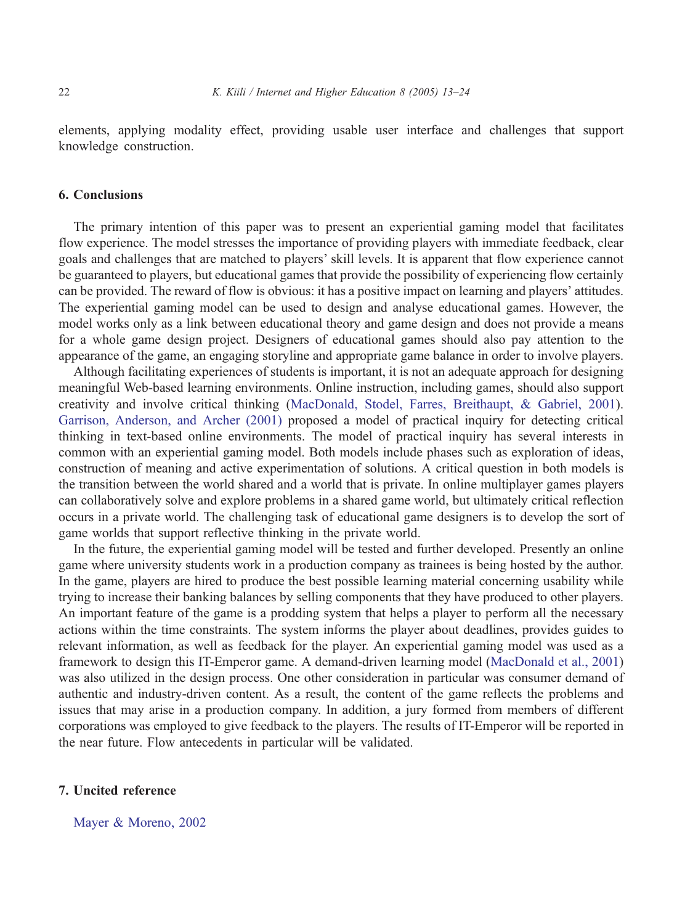elements, applying modality effect, providing usable user interface and challenges that support knowledge construction.

#### 6. Conclusions

The primary intention of this paper was to present an experiential gaming model that facilitates flow experience. The model stresses the importance of providing players with immediate feedback, clear goals and challenges that are matched to players' skill levels. It is apparent that flow experience cannot be guaranteed to players, but educational games that provide the possibility of experiencing flow certainly can be provided. The reward of flow is obvious: it has a positive impact on learning and players' attitudes. The experiential gaming model can be used to design and analyse educational games. However, the model works only as a link between educational theory and game design and does not provide a means for a whole game design project. Designers of educational games should also pay attention to the appearance of the game, an engaging storyline and appropriate game balance in order to involve players.

Although facilitating experiences of students is important, it is not an adequate approach for designing meaningful Web-based learning environments. Online instruction, including games, should also support creativity and involve critical thinking ([MacDonald, Stodel, Farres, Breithaupt, & Gabriel, 2001\)](#page-10-0). [Garrison, Anderson, and Archer \(2001\)](#page-10-0) proposed a model of practical inquiry for detecting critical thinking in text-based online environments. The model of practical inquiry has several interests in common with an experiential gaming model. Both models include phases such as exploration of ideas, construction of meaning and active experimentation of solutions. A critical question in both models is the transition between the world shared and a world that is private. In online multiplayer games players can collaboratively solve and explore problems in a shared game world, but ultimately critical reflection occurs in a private world. The challenging task of educational game designers is to develop the sort of game worlds that support reflective thinking in the private world.

In the future, the experiential gaming model will be tested and further developed. Presently an online game where university students work in a production company as trainees is being hosted by the author. In the game, players are hired to produce the best possible learning material concerning usability while trying to increase their banking balances by selling components that they have produced to other players. An important feature of the game is a prodding system that helps a player to perform all the necessary actions within the time constraints. The system informs the player about deadlines, provides guides to relevant information, as well as feedback for the player. An experiential gaming model was used as a framework to design this IT-Emperor game. A demand-driven learning model ([MacDonald et al., 2001\)](#page-10-0) was also utilized in the design process. One other consideration in particular was consumer demand of authentic and industry-driven content. As a result, the content of the game reflects the problems and issues that may arise in a production company. In addition, a jury formed from members of different corporations was employed to give feedback to the players. The results of IT-Emperor will be reported in the near future. Flow antecedents in particular will be validated.

## 7. Uncited reference

[Mayer & Moreno, 2002](#page-11-0)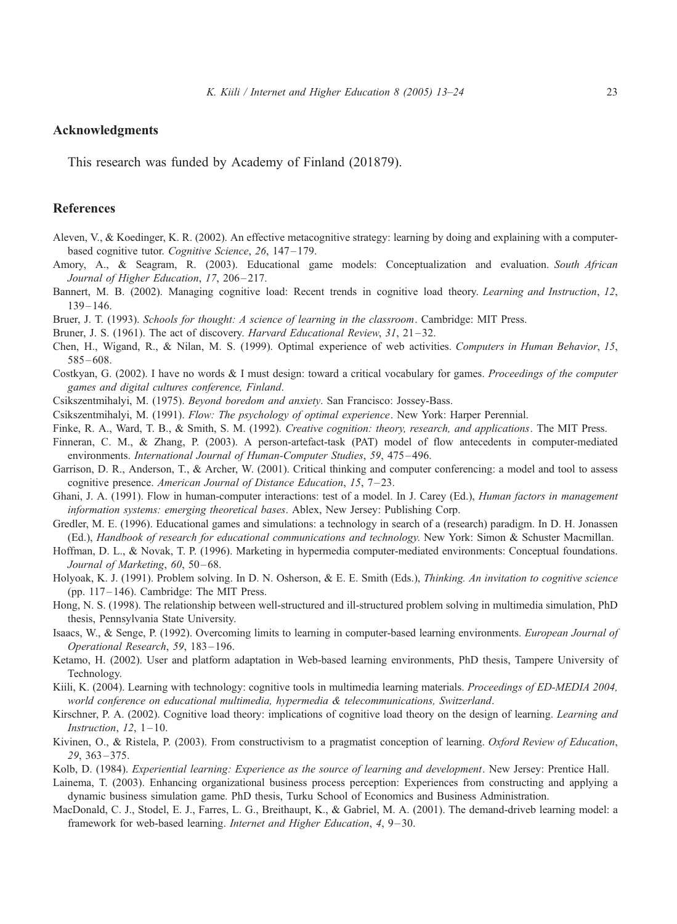#### <span id="page-10-0"></span>Acknowledgments

This research was funded by Academy of Finland (201879).

#### References

- Aleven, V., & Koedinger, K. R. (2002). An effective metacognitive strategy: learning by doing and explaining with a computerbased cognitive tutor. Cognitive Science, 26, 147-179.
- Amory, A., & Seagram, R. (2003). Educational game models: Conceptualization and evaluation. South African Journal of Higher Education, 17, 206-217.
- Bannert, M. B. (2002). Managing cognitive load: Recent trends in cognitive load theory. Learning and Instruction, 12, 139 – 146.
- Bruer, J. T. (1993). Schools for thought: A science of learning in the classroom. Cambridge: MIT Press.
- Bruner, J. S. (1961). The act of discovery. Harvard Educational Review, 31, 21–32.
- Chen, H., Wigand, R., & Nilan, M. S. (1999). Optimal experience of web activities. Computers in Human Behavior, 15, 585 – 608.
- Costkyan, G. (2002). I have no words & I must design: toward a critical vocabulary for games. Proceedings of the computer games and digital cultures conference, Finland.
- Csikszentmihalyi, M. (1975). Beyond boredom and anxiety. San Francisco: Jossey-Bass.
- Csikszentmihalyi, M. (1991). Flow: The psychology of optimal experience. New York: Harper Perennial.
- Finke, R. A., Ward, T. B., & Smith, S. M. (1992). Creative cognition: theory, research, and applications. The MIT Press.
- Finneran, C. M., & Zhang, P. (2003). A person-artefact-task (PAT) model of flow antecedents in computer-mediated environments. International Journal of Human-Computer Studies, 59, 475 – 496.
- Garrison, D. R., Anderson, T., & Archer, W. (2001). Critical thinking and computer conferencing: a model and tool to assess cognitive presence. American Journal of Distance Education, 15, 7 – 23.
- Ghani, J. A. (1991). Flow in human-computer interactions: test of a model. In J. Carey (Ed.), *Human factors in management* information systems: emerging theoretical bases. Ablex, New Jersey: Publishing Corp.
- Gredler, M. E. (1996). Educational games and simulations: a technology in search of a (research) paradigm. In D. H. Jonassen (Ed.), Handbook of research for educational communications and technology. New York: Simon & Schuster Macmillan.
- Hoffman, D. L., & Novak, T. P. (1996). Marketing in hypermedia computer-mediated environments: Conceptual foundations. Journal of Marketing, 60, 50-68.
- Holyoak, K. J. (1991). Problem solving. In D. N. Osherson, & E. E. Smith (Eds.), Thinking. An invitation to cognitive science (pp.  $117 - 146$ ). Cambridge: The MIT Press.
- Hong, N. S. (1998). The relationship between well-structured and ill-structured problem solving in multimedia simulation, PhD thesis, Pennsylvania State University.
- Isaacs, W., & Senge, P. (1992). Overcoming limits to learning in computer-based learning environments. European Journal of Operational Research, 59, 183 – 196.
- Ketamo, H. (2002). User and platform adaptation in Web-based learning environments, PhD thesis, Tampere University of Technology.
- Kiili, K. (2004). Learning with technology: cognitive tools in multimedia learning materials. Proceedings of ED-MEDIA 2004, world conference on educational multimedia, hypermedia & telecommunications, Switzerland.
- Kirschner, P. A. (2002). Cognitive load theory: implications of cognitive load theory on the design of learning. Learning and Instruction,  $12$ ,  $1 - 10$ .
- Kivinen, O., & Ristela, P. (2003). From constructivism to a pragmatist conception of learning. Oxford Review of Education, 29, 363 – 375.
- Kolb, D. (1984). Experiential learning: Experience as the source of learning and development. New Jersey: Prentice Hall.
- Lainema, T. (2003). Enhancing organizational business process perception: Experiences from constructing and applying a dynamic business simulation game. PhD thesis, Turku School of Economics and Business Administration.
- MacDonald, C. J., Stodel, E. J., Farres, L. G., Breithaupt, K., & Gabriel, M. A. (2001). The demand-driveb learning model: a framework for web-based learning. Internet and Higher Education, 4, 9-30.